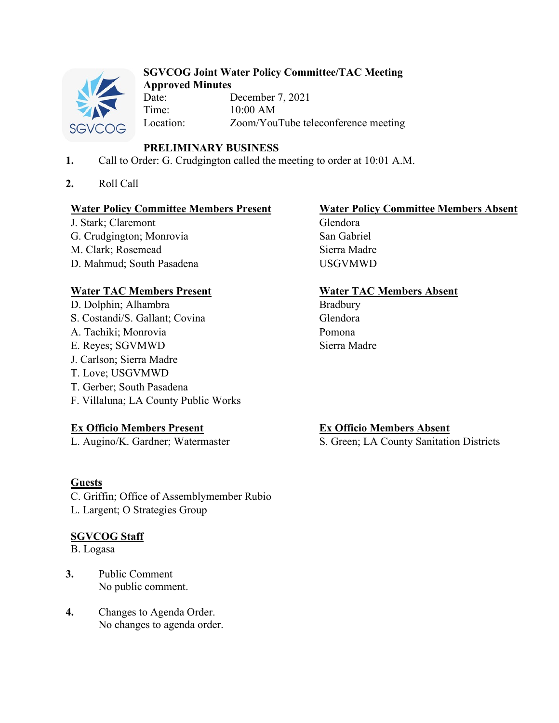

# **SGVCOG Joint Water Policy Committee/TAC Meeting**

**Approved Minutes** December 7, 2021 Time: 10:00 AM<br>Location: Zoom/You Zoom/YouTube teleconference meeting

# **PRELIMINARY BUSINESS**

- **1.** Call to Order: G. Crudgington called the meeting to order at 10:01 A.M.
- **2.** Roll Call

## **Water Policy Committee Members Present Water Policy Committee Members Absent**

J. Stark; Claremont Glendora G. Crudgington; Monrovia San Gabriel M. Clark; Rosemead Sierra Madre D. Mahmud; South Pasadena USGVMWD

# **Water TAC Members Present Water TAC Members Absent**

D. Dolphin; Alhambra Bradbury S. Costandi/S. Gallant; Covina Glendora A. Tachiki; Monrovia Pomona E. Reyes; SGVMWD Sierra Madre J. Carlson; Sierra Madre T. Love; USGVMWD T. Gerber; South Pasadena F. Villaluna; LA County Public Works

# **Ex Officio Members Present Ex Officio Members Absent**

### **Guests**

C. Griffin; Office of Assemblymember Rubio L. Largent; O Strategies Group

### **SGVCOG Staff**

B. Logasa

- **3.** Public Comment No public comment.
- **4.** Changes to Agenda Order. No changes to agenda order.

L. Augino/K. Gardner; Watermaster S. Green; LA County Sanitation Districts